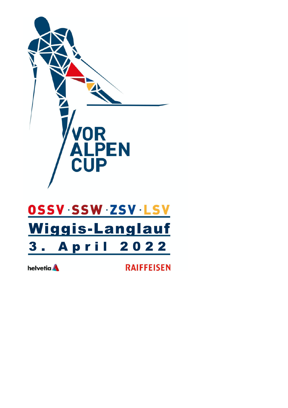

# OSSV SSW ZSV LSV Wiggis-Langlauf 3. April 2022

helvetia **A** 

**RAIFFEISEN**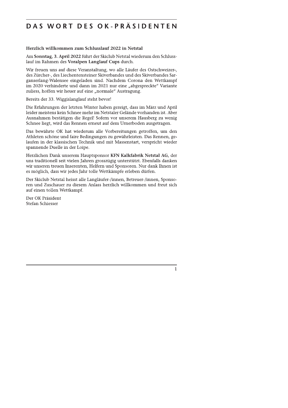# DAS WORI DES OK-PRASIDENIEN

**DAS WORT DES OK-PRÄSSIDENTENT (1988)**<br>
Herztich willkommen zum Schlusslauf 2022 in Netstal<br>
Am Sonatag, 3. April 2022 (inht der Skielub Netstal wiederum den Schlusslauf in Sanatag, 3. April 2022 (inht der Skielub Netstal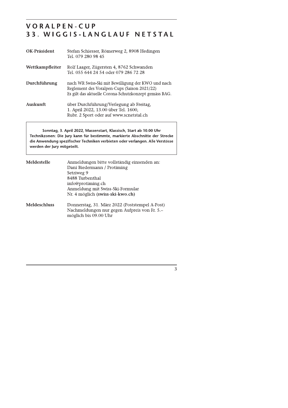#### VORALPEN-CUP 33. WIGGIS-LANGLAUF NETSTAL

| OK-Präsident    | Stefan Schiesser, Römerweg 2, 8908 Hedingen<br>Tel. 079 280 98 45                                                                                           |
|-----------------|-------------------------------------------------------------------------------------------------------------------------------------------------------------|
| Wettkampfleiter | Rolf Laager, Zügersten 4, 8762 Schwanden<br>Tel. 055 644 24 54 oder 079 286 72 28                                                                           |
| Durchführung    | nach WR Swiss-Ski mit Bewilligung der KWO und nach<br>Reglement des Voralpen-Cups (Saison 2021/22)<br>Es gilt das aktuelle Corona-Schutzkonzept gemäss BAG. |
| Auskunft        | über Durchführung/Verlegung ab Freitag,<br>1. April 2022, 13.00 über Tel. 1600,<br>Rubr. 2 Sport oder auf www.scnetstal.ch                                  |
|                 |                                                                                                                                                             |

Sonntag, 3. April 2022, Massenstart, Klassisch, Start ab 10.00 Uhr Technikzonen: Die Jury kann für bestimmte, markierte Abschnitte der Strecke die Anwendung spezifischer Techniken verbieten oder verlangen. Alle Verstösse werden der Jury mitgeteilt.

| Meldestelle         | Anmeldungen bitte vollständig einsenden an:<br>Dani Biedermann / Protiming<br>Setziweg 9<br>8488 Turbenthal<br>info@protiming.ch<br>Anmeldung mit Swiss-Ski-Formular<br>Nr. 4 möglich (swiss-ski-kwo.ch) |
|---------------------|----------------------------------------------------------------------------------------------------------------------------------------------------------------------------------------------------------|
| <b>Meldeschluss</b> | Donnerstag, 31. März 2022 (Poststempel A-Post)<br>Nachmeldungen nur gegen Aufpreis von Fr. 5.-<br>möglich bis 09.00 Uhr                                                                                  |

 $\overline{3}$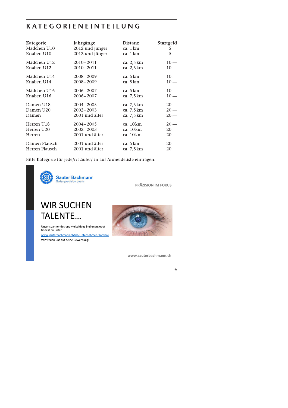### **KATEGORIENEINTEILUNG**

| Kategorie      | Jahrgänge       | <b>Distanz</b> | <b>Startgeld</b> |
|----------------|-----------------|----------------|------------------|
| Mädchen U10    | 2012 und jünger | ca. 1 km       | $5 -$            |
| Knaben U10     | 2012 und jünger | ca. 1 km       | $5 -$            |
| Mädchen U12    | $2010 - 2011$   | ca. 2,5 km     | $10\cdots$       |
| Knaben U12     | 2010-2011       | ca. 2,5 km     | $10 -$           |
| Mädchen U14    | $2008 - 2009$   | ca. 5 km       | $10 -$           |
| Knaben U14     | 2008-2009       | ca. 5 km       | $10 -$           |
| Mädchen U16    | $2006 - 2007$   | ca. 5 km       | $10 -$           |
| Knaben U16     | 2006-2007       | ca. 7,5 km     | $10 -$           |
| Damen U18      | 2004-2005       | ca. 7,5 km     | $20 -$           |
| Damen U20      | 2002-2003       | ca. 7,5 km     | $20 -$           |
| Damen          | 2001 und älter  | ca. 7,5 km     | $20 -$           |
| Herren U18     | $2004 - 2005$   | ca. 10 km      | $20 -$           |
| Herren U20     | $2002 - 2003$   | ca. 10 km      | $20 -$           |
| Herren         | 2001 und älter  | ca. 10 km      | $20 -$           |
| Damen Plausch  | 2001 und älter  | ca. 5 km       | $20 -$           |
| Herren Plausch | 2001 und älter  | ca. 7,5 km     | $20 -$           |

Bitte Kategorie für jede/n Läufer/-in auf Anmeldeliste eintragen.

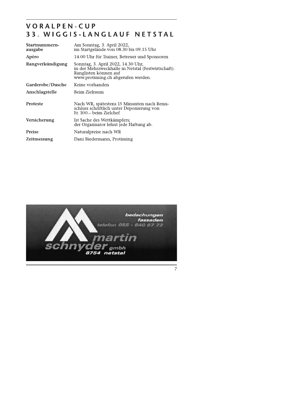#### VORALPEN-CUP 33. WIGGIS-LANGLAUF NETSTAL

| Am Sonntag, 3. April 2022,<br>Startnummern-                                                                                                                                 |  |
|-----------------------------------------------------------------------------------------------------------------------------------------------------------------------------|--|
| im Startgelände von 08.30 bis 09.15 Uhr<br>ausgabe                                                                                                                          |  |
| Apéro<br>14.00 Uhr für Trainer, Betreuer und Sponsoren                                                                                                                      |  |
| Rangverkündigung<br>Sonntag, 3. April 2022, 14.30 Uhr,<br>in der Mehrzweckhalle in Netstal (Festwirtschaft).<br>Ranglisten können auf<br>www.protiming.ch abgerufen werden. |  |
| Garderobe/Dusche<br>Keine vorhanden                                                                                                                                         |  |
| Beim Zielraum<br><b>Anschlagstelle</b>                                                                                                                                      |  |
| <b>Proteste</b><br>Nach WR, spätestens 15 Minunten nach Renn-<br>schluss schriftlich unter Deponierung von<br>Fr. 100.– beim Zielchef                                       |  |
| <b>Versicherung</b><br>Ist Sache des Wettkämpfers;<br>der Organisator lehnt jede Haftung ab.                                                                                |  |
| <b>Preise</b><br>Naturalpreise nach WR                                                                                                                                      |  |
| Dani Biedermann, Protiming<br><b>Zeitmessung</b>                                                                                                                            |  |



 $\frac{1}{7}$